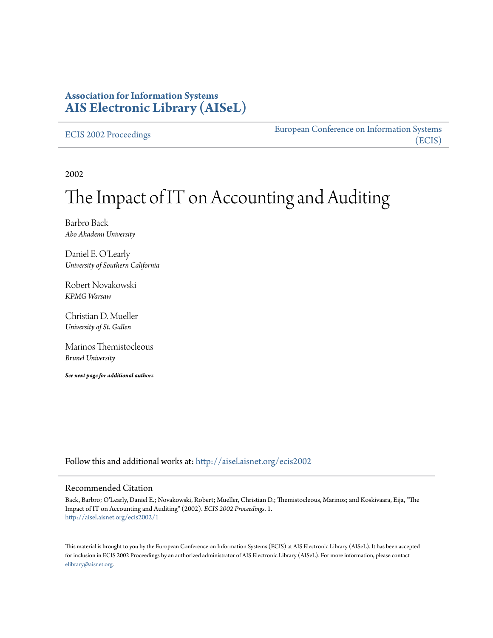## **Association for Information Systems [AIS Electronic Library \(AISeL\)](http://aisel.aisnet.org?utm_source=aisel.aisnet.org%2Fecis2002%2F1&utm_medium=PDF&utm_campaign=PDFCoverPages)**

[ECIS 2002 Proceedings](http://aisel.aisnet.org/ecis2002?utm_source=aisel.aisnet.org%2Fecis2002%2F1&utm_medium=PDF&utm_campaign=PDFCoverPages)

[European Conference on Information Systems](http://aisel.aisnet.org/ecis?utm_source=aisel.aisnet.org%2Fecis2002%2F1&utm_medium=PDF&utm_campaign=PDFCoverPages) [\(ECIS\)](http://aisel.aisnet.org/ecis?utm_source=aisel.aisnet.org%2Fecis2002%2F1&utm_medium=PDF&utm_campaign=PDFCoverPages)

2002

# The Impact of IT on Accounting and Auditing

Barbro Back *Abo Akademi University*

Daniel E. O'Learly *University of Southern California*

Robert Novakowski *KPMG Warsaw*

Christian D. Mueller *University of St. Gallen*

Marinos Themistocleous *Brunel University*

*See next page for additional authors*

Follow this and additional works at: [http://aisel.aisnet.org/ecis2002](http://aisel.aisnet.org/ecis2002?utm_source=aisel.aisnet.org%2Fecis2002%2F1&utm_medium=PDF&utm_campaign=PDFCoverPages)

### Recommended Citation

Back, Barbro; O'Learly, Daniel E.; Novakowski, Robert; Mueller, Christian D.; Themistocleous, Marinos; and Koskivaara, Eija, "The Impact of IT on Accounting and Auditing" (2002). *ECIS 2002 Proceedings*. 1. [http://aisel.aisnet.org/ecis2002/1](http://aisel.aisnet.org/ecis2002/1?utm_source=aisel.aisnet.org%2Fecis2002%2F1&utm_medium=PDF&utm_campaign=PDFCoverPages)

This material is brought to you by the European Conference on Information Systems (ECIS) at AIS Electronic Library (AISeL). It has been accepted for inclusion in ECIS 2002 Proceedings by an authorized administrator of AIS Electronic Library (AISeL). For more information, please contact [elibrary@aisnet.org.](mailto:elibrary@aisnet.org%3E)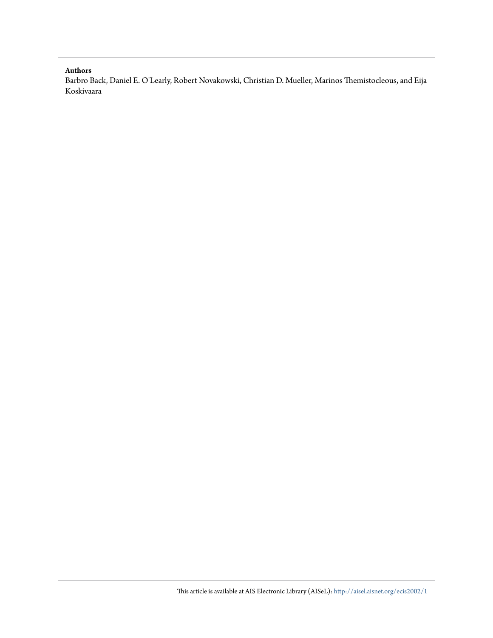#### **Authors**

Barbro Back, Daniel E. O'Learly, Robert Novakowski, Christian D. Mueller, Marinos Themistocleous, and Eija Koskivaara